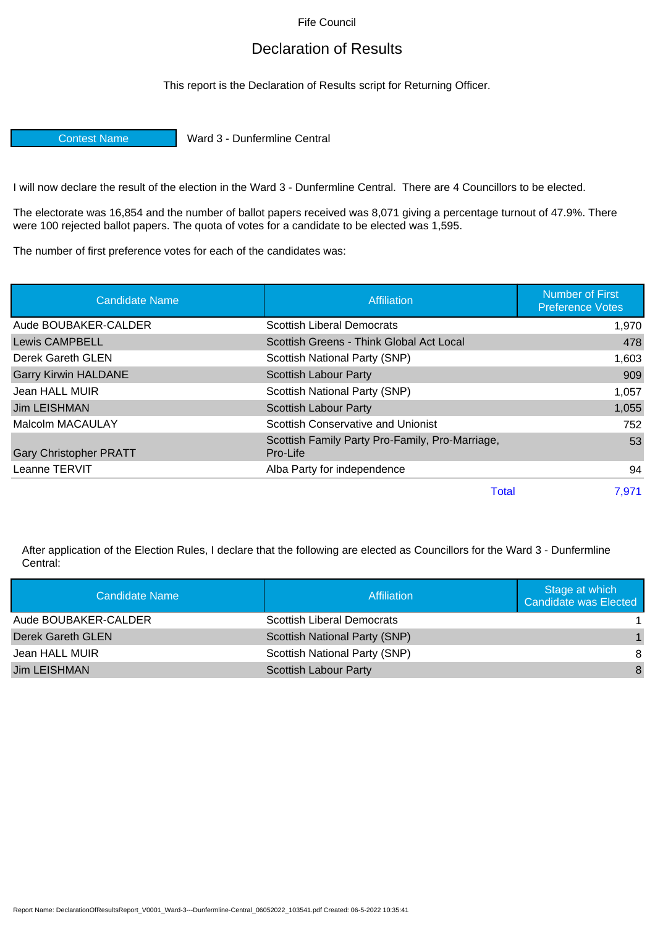Fife Council

## Declaration of Results

This report is the Declaration of Results script for Returning Officer.

Contest Name Ward 3 - Dunfermline Central

I will now declare the result of the election in the Ward 3 - Dunfermline Central. There are 4 Councillors to be elected.

The electorate was 16,854 and the number of ballot papers received was 8,071 giving a percentage turnout of 47.9%. There were 100 rejected ballot papers. The quota of votes for a candidate to be elected was 1,595.

The number of first preference votes for each of the candidates was:

| <b>Candidate Name</b>         | Affiliation                                                 | <b>Number of First</b><br><b>Preference Votes</b> |
|-------------------------------|-------------------------------------------------------------|---------------------------------------------------|
| Aude BOUBAKER-CALDER          | <b>Scottish Liberal Democrats</b>                           | 1,970                                             |
| Lewis CAMPBELL                | Scottish Greens - Think Global Act Local                    | 478                                               |
| Derek Gareth GLEN             | Scottish National Party (SNP)                               | 1,603                                             |
| <b>Garry Kirwin HALDANE</b>   | <b>Scottish Labour Party</b>                                | 909                                               |
| Jean HALL MUIR                | Scottish National Party (SNP)                               | 1,057                                             |
| Jim LEISHMAN                  | <b>Scottish Labour Party</b>                                | 1,055                                             |
| Malcolm MACAULAY              | Scottish Conservative and Unionist                          | 752                                               |
| <b>Gary Christopher PRATT</b> | Scottish Family Party Pro-Family, Pro-Marriage,<br>Pro-Life | 53                                                |
| Leanne TERVIT                 | Alba Party for independence                                 | 94                                                |
|                               | Total                                                       | 7.971                                             |

After application of the Election Rules, I declare that the following are elected as Councillors for the Ward 3 - Dunfermline Central:

| Candidate Name       | Affiliation                   | Stage at which<br>Candidate was Elected |
|----------------------|-------------------------------|-----------------------------------------|
| Aude BOUBAKER-CALDER | Scottish Liberal Democrats    |                                         |
| Derek Gareth GLEN    | Scottish National Party (SNP) | $\blacksquare$                          |
| Jean HALL MUIR       | Scottish National Party (SNP) | 8                                       |
| Jim LEISHMAN         | <b>Scottish Labour Party</b>  | 8                                       |